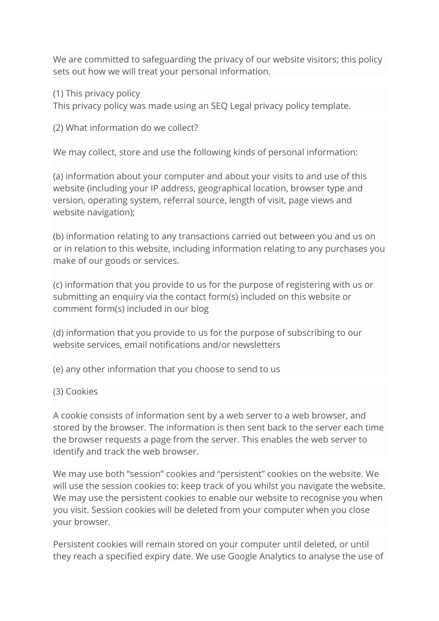We are committed to safeguarding the privacy of our website visitors; this policy sets out how we will treat your personal information.

(1) This privacy policy

This privacy policy was made using an SEQ Legal privacy policy template.

(2) What information do we collect?

We may collect, store and use the following kinds of personal information:

(a) information about your computer and about your visits to and use of this website (including your IP address, geographical location, browser type and version, operating system, referral source, length of visit, page views and website navigation);

(b) information relating to any transactions carried out between you and us on or in relation to this website, including information relating to any purchases you make of our goods or services.

(c) information that you provide to us for the purpose of registering with us or submitting an enquiry via the contact form(s) included on this website or comment form(s) included in our blog

(d) information that you provide to us for the purpose of subscribing to our website services, email notifications and/or newsletters

(e) any other information that you choose to send to us

(3) Cookies

A cookie consists of information sent by a web server to a web browser, and stored by the browser. The information is then sent back to the server each time the browser requests a page from the server. This enables the web server to identify and track the web browser.

We may use both "session" cookies and "persistent" cookies on the website. We will use the session cookies to: keep track of you whilst you navigate the website. We may use the persistent cookies to enable our website to recognise you when you visit. Session cookies will be deleted from your computer when you close your browser.

Persistent cookies will remain stored on your computer until deleted, or until they reach a specified expiry date. We use Google Analytics to analyse the use of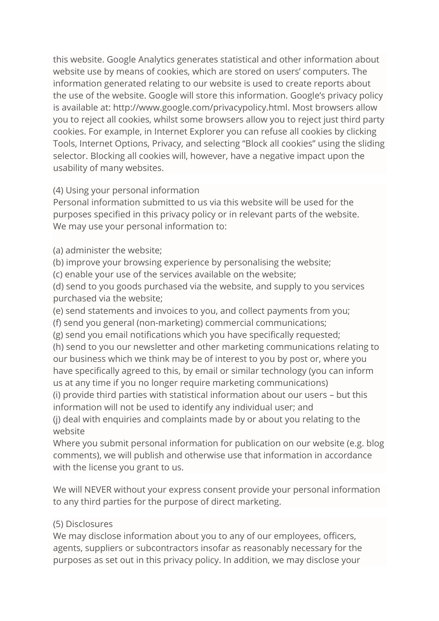this website. Google Analytics generates statistical and other information about website use by means of cookies, which are stored on users' computers. The information generated relating to our website is used to create reports about the use of the website. Google will store this information. Google's privacy policy is available at: http://www.google.com/privacypolicy.html. Most browsers allow you to reject all cookies, whilst some browsers allow you to reject just third party cookies. For example, in Internet Explorer you can refuse all cookies by clicking Tools, Internet Options, Privacy, and selecting "Block all cookies" using the sliding selector. Blocking all cookies will, however, have a negative impact upon the usability of many websites.

(4) Using your personal information

Personal information submitted to us via this website will be used for the purposes specified in this privacy policy or in relevant parts of the website. We may use your personal information to:

(a) administer the website;

(b) improve your browsing experience by personalising the website;

(c) enable your use of the services available on the website;

(d) send to you goods purchased via the website, and supply to you services purchased via the website;

(e) send statements and invoices to you, and collect payments from you;

(f) send you general (non-marketing) commercial communications;

(g) send you email notifications which you have specifically requested;

(h) send to you our newsletter and other marketing communications relating to our business which we think may be of interest to you by post or, where you have specifically agreed to this, by email or similar technology (you can inform us at any time if you no longer require marketing communications)

(i) provide third parties with statistical information about our users – but this information will not be used to identify any individual user; and

(j) deal with enquiries and complaints made by or about you relating to the website

Where you submit personal information for publication on our website (e.g. blog comments), we will publish and otherwise use that information in accordance with the license you grant to us.

We will NEVER without your express consent provide your personal information to any third parties for the purpose of direct marketing.

# (5) Disclosures

We may disclose information about you to any of our employees, officers, agents, suppliers or subcontractors insofar as reasonably necessary for the purposes as set out in this privacy policy. In addition, we may disclose your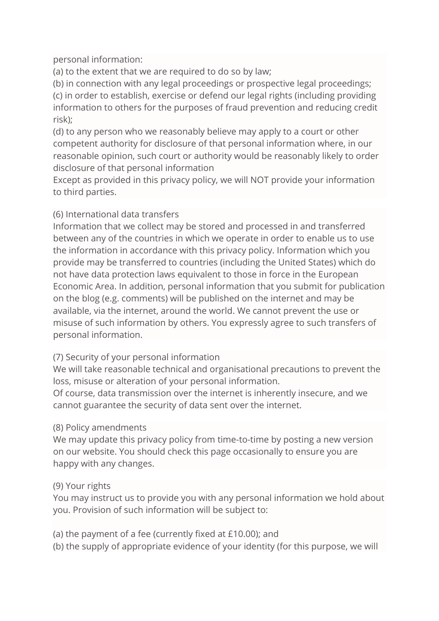personal information:

(a) to the extent that we are required to do so by law;

(b) in connection with any legal proceedings or prospective legal proceedings;

(c) in order to establish, exercise or defend our legal rights (including providing information to others for the purposes of fraud prevention and reducing credit risk);

(d) to any person who we reasonably believe may apply to a court or other competent authority for disclosure of that personal information where, in our reasonable opinion, such court or authority would be reasonably likely to order disclosure of that personal information

Except as provided in this privacy policy, we will NOT provide your information to third parties.

## (6) International data transfers

Information that we collect may be stored and processed in and transferred between any of the countries in which we operate in order to enable us to use the information in accordance with this privacy policy. Information which you provide may be transferred to countries (including the United States) which do not have data protection laws equivalent to those in force in the European Economic Area. In addition, personal information that you submit for publication on the blog (e.g. comments) will be published on the internet and may be available, via the internet, around the world. We cannot prevent the use or misuse of such information by others. You expressly agree to such transfers of personal information.

### (7) Security of your personal information

We will take reasonable technical and organisational precautions to prevent the loss, misuse or alteration of your personal information.

Of course, data transmission over the internet is inherently insecure, and we cannot guarantee the security of data sent over the internet.

### (8) Policy amendments

We may update this privacy policy from time-to-time by posting a new version on our website. You should check this page occasionally to ensure you are happy with any changes.

### (9) Your rights

You may instruct us to provide you with any personal information we hold about you. Provision of such information will be subject to:

(a) the payment of a fee (currently fixed at £10.00); and

(b) the supply of appropriate evidence of your identity (for this purpose, we will